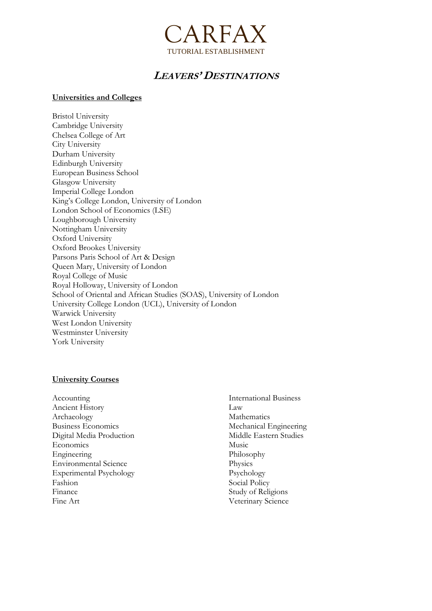

# **LEAVERS' DESTINATIONS**

#### **Universities and Colleges**

Bristol University Cambridge University Chelsea College of Art City University Durham University Edinburgh University European Business School Glasgow University Imperial College London King's College London, University of London London School of Economics (LSE) Loughborough University Nottingham University Oxford University Oxford Brookes University Parsons Paris School of Art & Design Queen Mary, University of London Royal College of Music Royal Holloway, University of London School of Oriental and African Studies (SOAS), University of London University College London (UCL), University of London Warwick University West London University Westminster University York University

#### **University Courses**

Accounting Ancient History Archaeology Business Economics Digital Media Production **Economics** Engineering Environmental Science Experimental Psychology Fashion Finance Fine Art

International Business Law Mathematics Mechanical Engineering Middle Eastern Studies Music Philosophy **Physics** Psychology Social Policy Study of Religions Veterinary Science